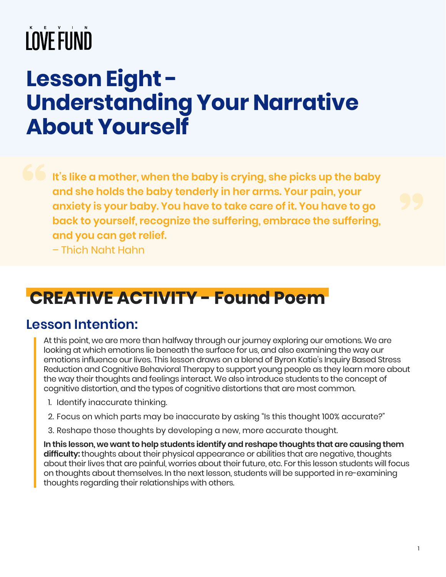## **Lesson Eight - Understanding Your Narrative About Yourself**

**It's like a mother, when the baby is crying, she picks up the baby and she holds the baby tenderly in her arms. Your pain, your anxiety is your baby. You have to take care of it. You have to go back to yourself, recognize the suffering, embrace the suffering, and you can get relief.** – Thich Naht Hahn

## **CREATIVE ACTIVITY - Found Poem**

#### **Lesson Intention:**

At this point, we are more than halfway through our journey exploring our emotions. We are looking at which emotions lie beneath the surface for us, and also examining the way our emotions influence our lives. This lesson draws on a blend of Byron Katie's Inquiry Based Stress Reduction and Cognitive Behavioral Therapy to support young people as they learn more about the way their thoughts and feelings interact. We also introduce students to the concept of cognitive distortion, and the types of cognitive distortions that are most common.

- 1. Identify inaccurate thinking.
- 2. Focus on which parts may be inaccurate by asking "Is this thought 100% accurate?"
- 3. Reshape those thoughts by developing a new, more accurate thought.

**In this lesson, we want to help students identify and reshape thoughts that are causing them difficulty:** thoughts about their physical appearance or abilities that are negative, thoughts about their lives that are painful, worries about their future, etc. For this lesson students will focus on thoughts about themselves. In the next lesson, students will be supported in re-examining thoughts regarding their relationships with others.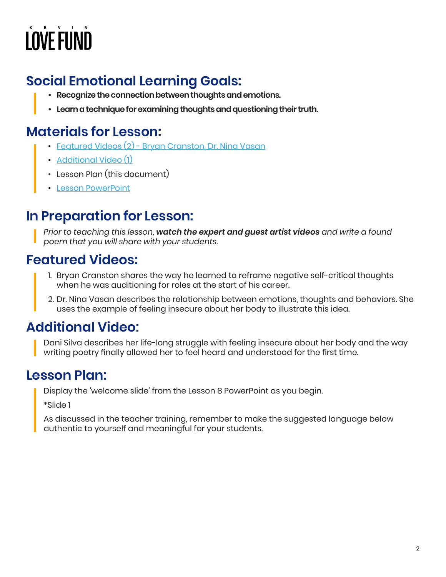## **Social Emotional Learning Goals:**

- **• Recognize the connection between thoughts and emotions.**
- **• Learn a technique for examining thoughts and questioning their truth.**

## **Materials for Lesson:**

- [Featured Videos \(2\) Bryan Cranston, Dr. Nina Vasan](https://kevinlovefund.org/for-teachers/lesson-eight/#artist-video)
- [Additional Video \(1\)](https://kevinlovefund.org/for-teachers/lesson-eight/#additional-video)
- Lesson Plan (this document)
- [Lesson PowerPoint](https://kevinlovefund.org/wp-content/uploads/2022/04/KLF-SEL-Lesson-Eight-.pdf)

## **In Preparation for Lesson:**

*Prior to teaching this lesson, watch the expert and guest artist videos and write a found poem that you will share with your students.*

### **Featured Videos:**

- 1. Bryan Cranston shares the way he learned to reframe negative self-critical thoughts when he was auditioning for roles at the start of his career.
- 2. Dr. Nina Vasan describes the relationship between emotions, thoughts and behaviors. She uses the example of feeling insecure about her body to illustrate this idea.

## **Additional Video:**

Dani Silva describes her life-long struggle with feeling insecure about her body and the way writing poetry finally allowed her to feel heard and understood for the first time.

### **Lesson Plan:**

Display the 'welcome slide' from the Lesson 8 PowerPoint as you begin.

\*Slide 1

As discussed in the teacher training, remember to make the suggested language below authentic to yourself and meaningful for your students.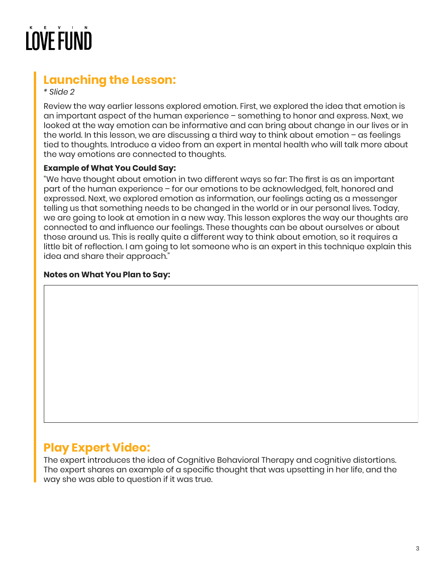### **Launching the Lesson:**

*\* Slide 2*

Review the way earlier lessons explored emotion. First, we explored the idea that emotion is an important aspect of the human experience – something to honor and express. Next, we looked at the way emotion can be informative and can bring about change in our lives or in the world. In this lesson, we are discussing a third way to think about emotion – as feelings tied to thoughts. Introduce a video from an expert in mental health who will talk more about the way emotions are connected to thoughts.

#### **Example of What You Could Say:**

"We have thought about emotion in two different ways so far: The first is as an important part of the human experience – for our emotions to be acknowledged, felt, honored and expressed. Next, we explored emotion as information, our feelings acting as a messenger telling us that something needs to be changed in the world or in our personal lives. Today, we are going to look at emotion in a new way. This lesson explores the way our thoughts are connected to and influence our feelings. These thoughts can be about ourselves or about those around us. This is really quite a different way to think about emotion, so it requires a little bit of reflection. I am going to let someone who is an expert in this technique explain this idea and share their approach."

#### **Notes on What You Plan to Say:**

#### **Play Expert Video:**

The expert introduces the idea of Cognitive Behavioral Therapy and cognitive distortions. The expert shares an example of a specific thought that was upsetting in her life, and the way she was able to question if it was true.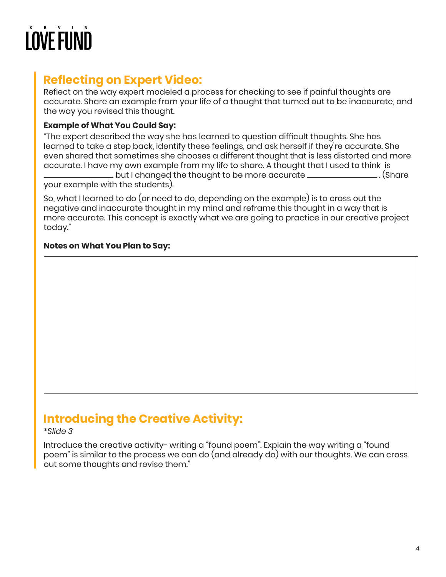### **Reflecting on Expert Video:**

Reflect on the way expert modeled a process for checking to see if painful thoughts are accurate. Share an example from your life of a thought that turned out to be inaccurate, and the way you revised this thought.

#### **Example of What You Could Say:**

"The expert described the way she has learned to question difficult thoughts. She has learned to take a step back, identify these feelings, and ask herself if they're accurate. She even shared that sometimes she chooses a different thought that is less distorted and more accurate. I have my own example from my life to share. A thought that I used to think is but I changed the thought to be more accurate . (Share your example with the students).

So, what I learned to do (or need to do, depending on the example) is to cross out the negative and inaccurate thought in my mind and reframe this thought in a way that is more accurate. This concept is exactly what we are going to practice in our creative project today."

#### **Notes on What You Plan to Say:**

### **Introducing the Creative Activity:**

#### *\*Slide 3*

Introduce the creative activity- writing a "found poem". Explain the way writing a "found poem" is similar to the process we can do (and already do) with our thoughts. We can cross out some thoughts and revise them."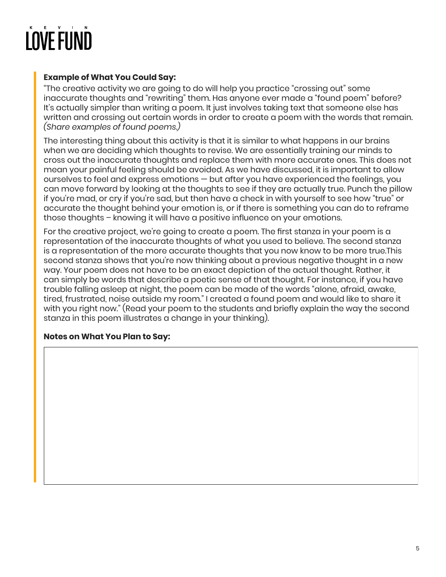#### **Example of What You Could Say:**

"The creative activity we are going to do will help you practice "crossing out" some inaccurate thoughts and "rewriting" them. Has anyone ever made a "found poem" before? It's actually simpler than writing a poem. It just involves taking text that someone else has written and crossing out certain words in order to create a poem with the words that remain. *(Share examples of found poems.)*

The interesting thing about this activity is that it is similar to what happens in our brains when we are deciding which thoughts to revise. We are essentially training our minds to cross out the inaccurate thoughts and replace them with more accurate ones. This does not mean your painful feeling should be avoided. As we have discussed, it is important to allow ourselves to feel and express emotions — but after you have experienced the feelings, you can move forward by looking at the thoughts to see if they are actually true. Punch the pillow if you're mad, or cry if you're sad, but then have a check in with yourself to see how "true" or accurate the thought behind your emotion is, or if there is something you can do to reframe those thoughts – knowing it will have a positive influence on your emotions.

For the creative project, we're going to create a poem. The first stanza in your poem is a representation of the inaccurate thoughts of what you used to believe. The second stanza is a representation of the more accurate thoughts that you now know to be more true.This second stanza shows that you're now thinking about a previous negative thought in a new way. Your poem does not have to be an exact depiction of the actual thought. Rather, it can simply be words that describe a poetic sense of that thought. For instance, if you have trouble falling asleep at night, the poem can be made of the words "alone, afraid, awake, tired, frustrated, noise outside my room." I created a found poem and would like to share it with you right now." (Read your poem to the students and briefly explain the way the second stanza in this poem illustrates a change in your thinking).

#### **Notes on What You Plan to Say:**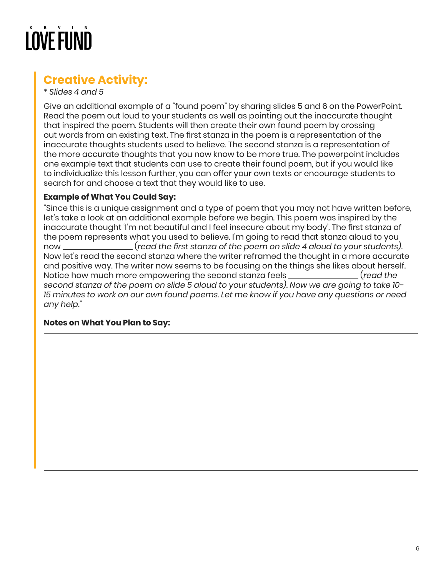## **Creative Activity:**

*\* Slides 4 and 5*

Give an additional example of a "found poem" by sharing slides 5 and 6 on the PowerPoint. Read the poem out loud to your students as well as pointing out the inaccurate thought that inspired the poem. Students will then create their own found poem by crossing out words from an existing text. The first stanza in the poem is a representation of the inaccurate thoughts students used to believe. The second stanza is a representation of the more accurate thoughts that you now know to be more true. The powerpoint includes one example text that students can use to create their found poem, but if you would like to individualize this lesson further, you can offer your own texts or encourage students to search for and choose a text that they would like to use.

#### **Example of What You Could Say:**

"Since this is a unique assignment and a type of poem that you may not have written before, let's take a look at an additional example before we begin. This poem was inspired by the inaccurate thought 'I'm not beautiful and I feel insecure about my body'. The first stanza of the poem represents what you used to believe. I'm going to read that stanza aloud to you now (*read the first stanza of the poem on slide 4 aloud to your students).*  Now let's read the second stanza where the writer reframed the thought in a more accurate and positive way. The writer now seems to be focusing on the things she likes about herself. Notice how much more empowering the second stanza feels (*read the second stanza of the poem on slide 5 aloud to your students). Now we are going to take 10- 15 minutes to work on our own found poems. Let me know if you have any questions or need any help."*

#### **Notes on What You Plan to Say:**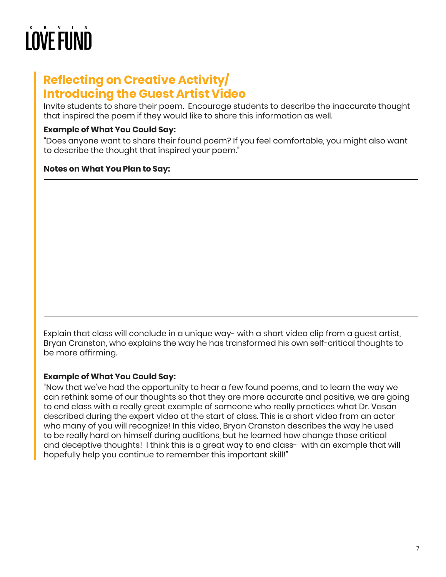### **Reflecting on Creative Activity/ Introducing the Guest Artist Video**

Invite students to share their poem. Encourage students to describe the inaccurate thought that inspired the poem if they would like to share this information as well.

#### **Example of What You Could Say:**

"Does anyone want to share their found poem? If you feel comfortable, you might also want to describe the thought that inspired your poem."

#### **Notes on What You Plan to Say:**

Explain that class will conclude in a unique way- with a short video clip from a guest artist, Bryan Cranston, who explains the way he has transformed his own self-critical thoughts to be more affirming.

#### **Example of What You Could Say:**

"Now that we've had the opportunity to hear a few found poems, and to learn the way we can rethink some of our thoughts so that they are more accurate and positive, we are going to end class with a really great example of someone who really practices what Dr. Vasan described during the expert video at the start of class. This is a short video from an actor who many of you will recognize! In this video, Bryan Cranston describes the way he used to be really hard on himself during auditions, but he learned how change those critical and deceptive thoughts! I think this is a great way to end class- with an example that will hopefully help you continue to remember this important skill!"